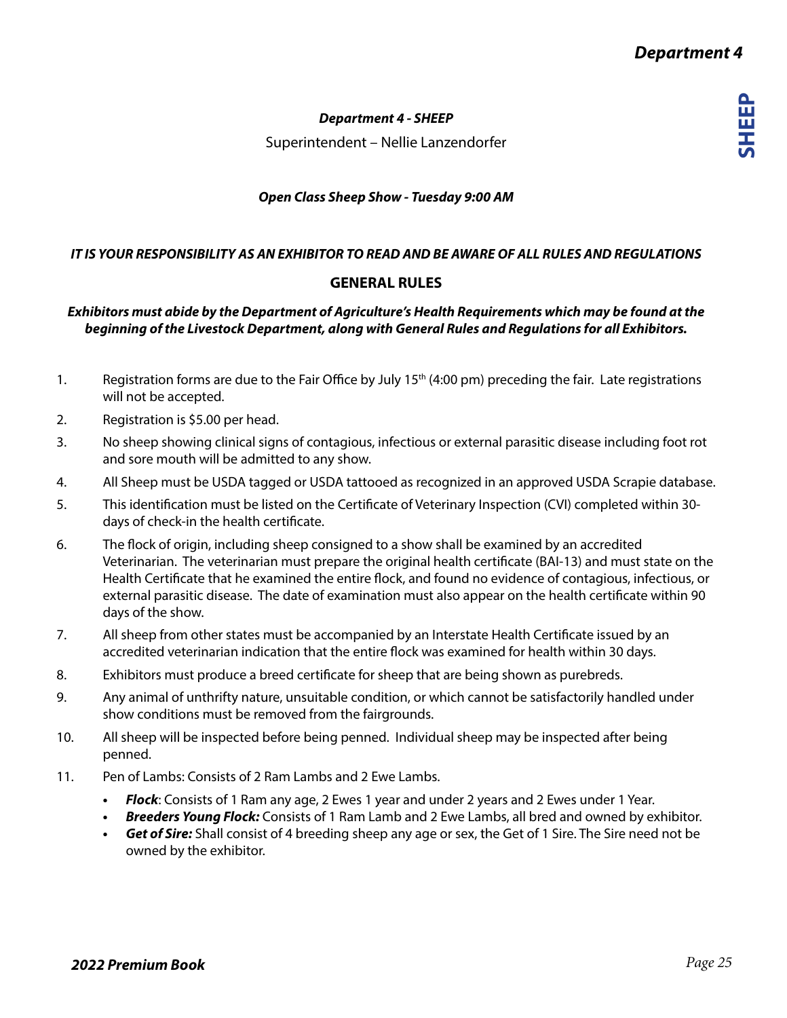## *Department 4 - SHEEP*

Superintendent – Nellie Lanzendorfer

## *Open Class Sheep Show - Tuesday 9:00 AM*

## *IT IS YOUR RESPONSIBILITY AS AN EXHIBITOR TO READ AND BE AWARE OF ALL RULES AND REGULATIONS*

# **GENERAL RULES**

## *Exhibitors must abide by the Department of Agriculture's Health Requirements which may be found at the beginning of the Livestock Department, along with General Rules and Regulations for all Exhibitors.*

- 1. Registration forms are due to the Fair Office by July 15<sup>th</sup> (4:00 pm) preceding the fair. Late registrations will not be accepted.
- 2. Registration is \$5.00 per head.
- 3. No sheep showing clinical signs of contagious, infectious or external parasitic disease including foot rot and sore mouth will be admitted to any show.
- 4. All Sheep must be USDA tagged or USDA tattooed as recognized in an approved USDA Scrapie database.
- 5. This identification must be listed on the Certificate of Veterinary Inspection (CVI) completed within 30 days of check-in the health certificate.
- 6. The flock of origin, including sheep consigned to a show shall be examined by an accredited Veterinarian. The veterinarian must prepare the original health certificate (BAI-13) and must state on the Health Certificate that he examined the entire flock, and found no evidence of contagious, infectious, or external parasitic disease. The date of examination must also appear on the health certificate within 90 days of the show.
- 7. All sheep from other states must be accompanied by an Interstate Health Certificate issued by an accredited veterinarian indication that the entire flock was examined for health within 30 days.
- 8. Exhibitors must produce a breed certificate for sheep that are being shown as purebreds.
- 9. Any animal of unthrifty nature, unsuitable condition, or which cannot be satisfactorily handled under show conditions must be removed from the fairgrounds.
- 10. All sheep will be inspected before being penned. Individual sheep may be inspected after being penned.
- 11. Pen of Lambs: Consists of 2 Ram Lambs and 2 Ewe Lambs.
	- *• Flock*: Consists of 1 Ram any age, 2 Ewes 1 year and under 2 years and 2 Ewes under 1 Year.
	- *• Breeders Young Flock:* Consists of 1 Ram Lamb and 2 Ewe Lambs, all bred and owned by exhibitor.
	- *• Get of Sire:* Shall consist of 4 breeding sheep any age or sex, the Get of 1 Sire. The Sire need not be owned by the exhibitor.